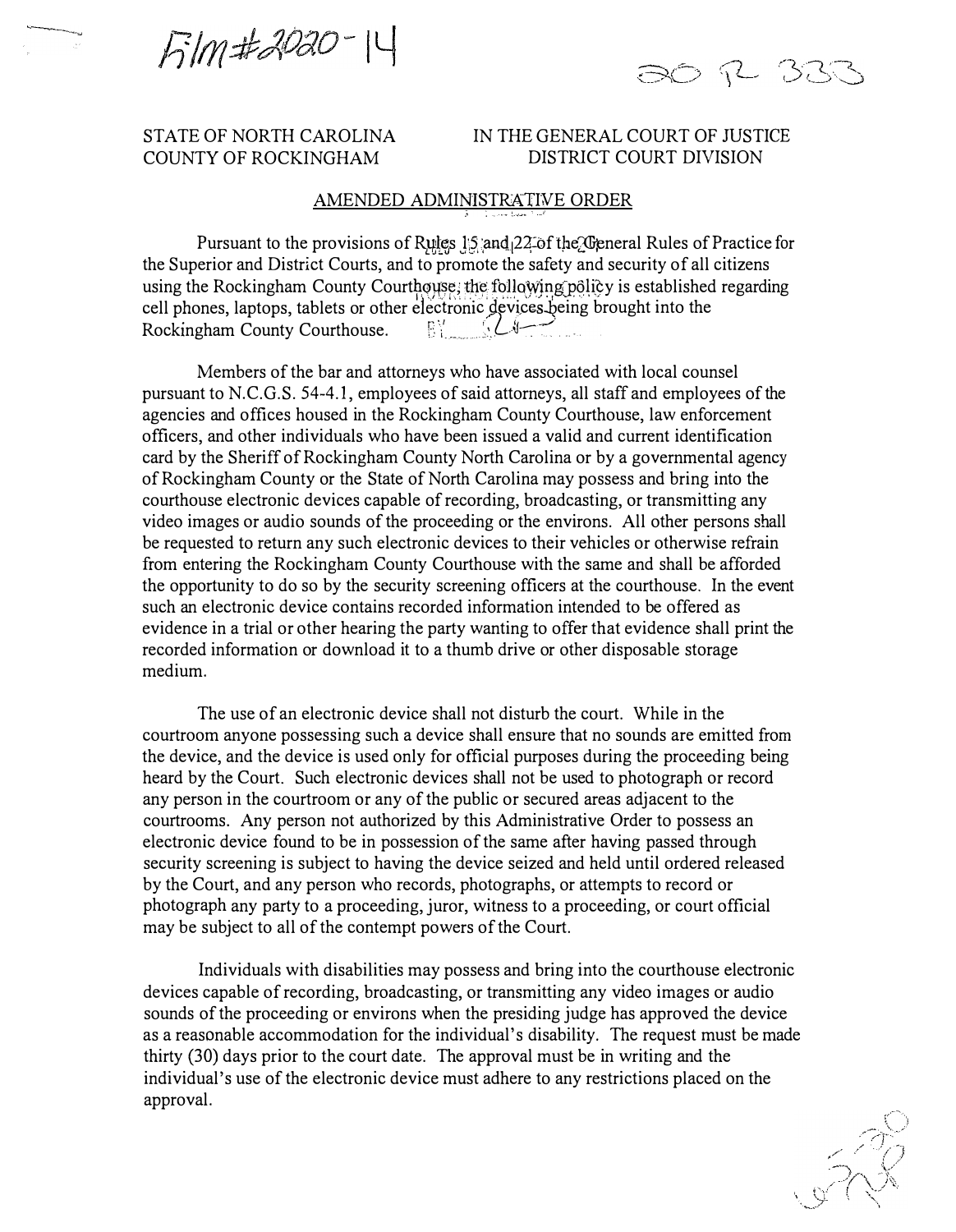Film#2020-14

5 R BR

## STATE OF NORTH CAROLINA COUNTY OF ROCKINGHAM

## IN THE GENERAL COURT OF JUSTICE DISTRICT COURT DIVISION

## AMENDED ADMINISTRATIVE ORDER

Pursuant to the provisions of Rules JS and 22 of the *C*eneral Rules of Practice for the Superior and District Courts, and to promote the safety and security of all citizens using the Rockingham County Courthouse; the following policy is established regarding cell phones, laptops, tablets or other electronic devices being brought into the , Rockingham County Courthouse. Section 1984

Members of the bar and attorneys who have associated with local counsel pursuant to N.C.G.S. 54-4.1, employees of said attorneys, all staff and employees of the agencies and offices housed in the Rockingham County Courthouse, law enforcement officers, and other individuals who have been issued a valid and current identification card by the Sheriff of Rockingham County North Carolina or by a governmental agency of Rockingham County or the State of North Carolina may possess and bring into the courthouse electronic devices capable of recording, broadcasting, or transmitting any video images or audio sounds of the proceeding or the environs. All other persons shall be requested to return any such electronic devices to their vehicles or otherwise refrain from entering the Rockingham County Courthouse with the same and shall be afforded the opportunity to do so by the security screening officers at the courthouse. In the event such an electronic device contains recorded information intended to be offered as evidence in a trial or other hearing the party wanting to offer that evidence shall print the recorded information or download it to a thumb drive or other disposable storage medium.

The use of an electronic device shall not disturb the court. While in the courtroom anyone possessing such a device shall ensure that no sounds are emitted from the device, and the device is used only for official purposes during the proceeding being heard by the Court. Such electronic devices shall not be used to photograph or record any person in the courtroom or any of the public or secured areas adjacent to the courtrooms. Any person not authorized by this Administrative Order to possess an electronic device found to be in possession of the same after having passed through security screening is subject to having the device seized and held until ordered released by the Court, and any person who records, photographs, or attempts to record or photograph any party to a proceeding, juror, witness to a proceeding, or court official may be subject to all of the contempt powers of the Court.

Individuals with disabilities may possess and bring into the courthouse electronic devices capable of recording, broadcasting, or transmitting any video images or audio sounds of the proceeding or environs when the presiding judge has approved the device as a reasonable accommodation for the individual's disability. The request must be made thirty (30) days prior to the court date. The approval must be in writing and the individual's use of the electronic device must adhere to any restrictions placed on the approval.